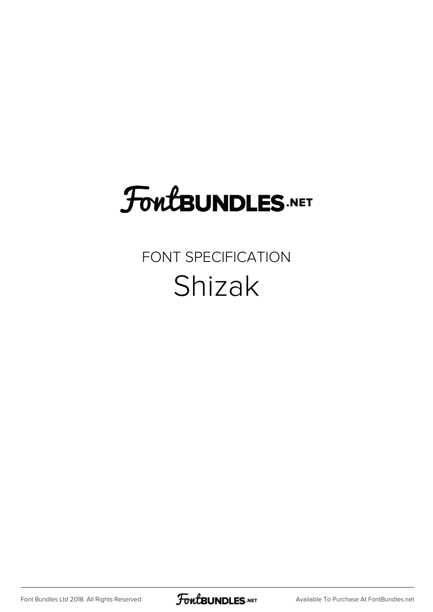## **FoutBUNDLES.NET**

#### FONT SPECIFICATION Shizak

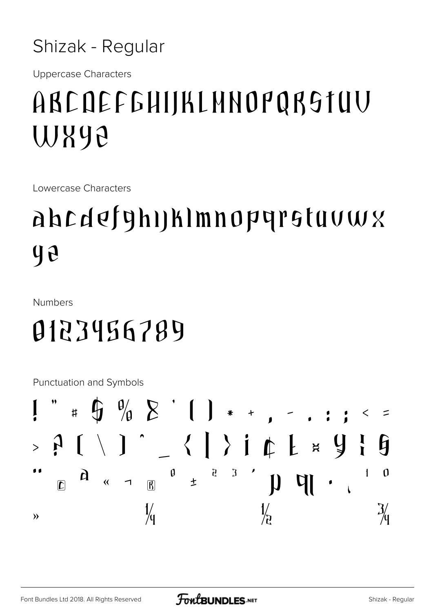#### Shizak - Regular

**Uppercase Characters** 

#### ABCDEFGHIJKLHNOPQRSTUU WXYQ

Lowercase Characters

### ahcdefyhijklmnopyrstuvwx  $\boldsymbol{q}$

**Numbers** 

#### 0123456789

Punctuation and Symbols

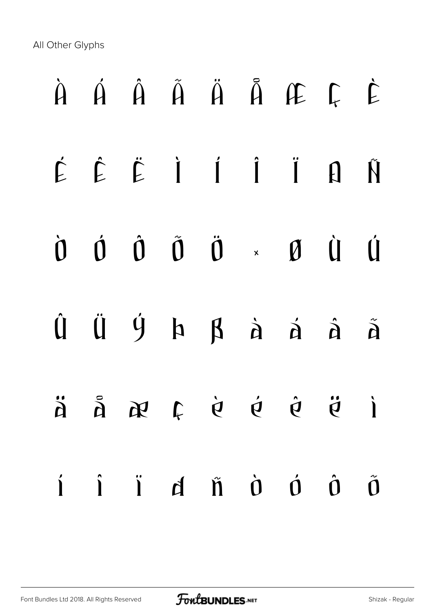All Other Glyphs

# À Á Â Ã Ä Å Æ Ç È É Ê Ë Ì Í Î Ï Ð Ñ Ò Ó Ô Õ Ö × Ø Ù Ú  $\hat{U}$   $\hat{U}$   $\hat{y}$   $\hat{p}$   $\hat{p}$   $\hat{a}$   $\hat{a}$   $\hat{a}$   $\hat{a}$  $\vec{a}$  b  $\vec{b}$  b  $\vec{b}$  a  $\vec{a}$  h  $\vec{b}$ í î ï ð ñ ò ó ô õ